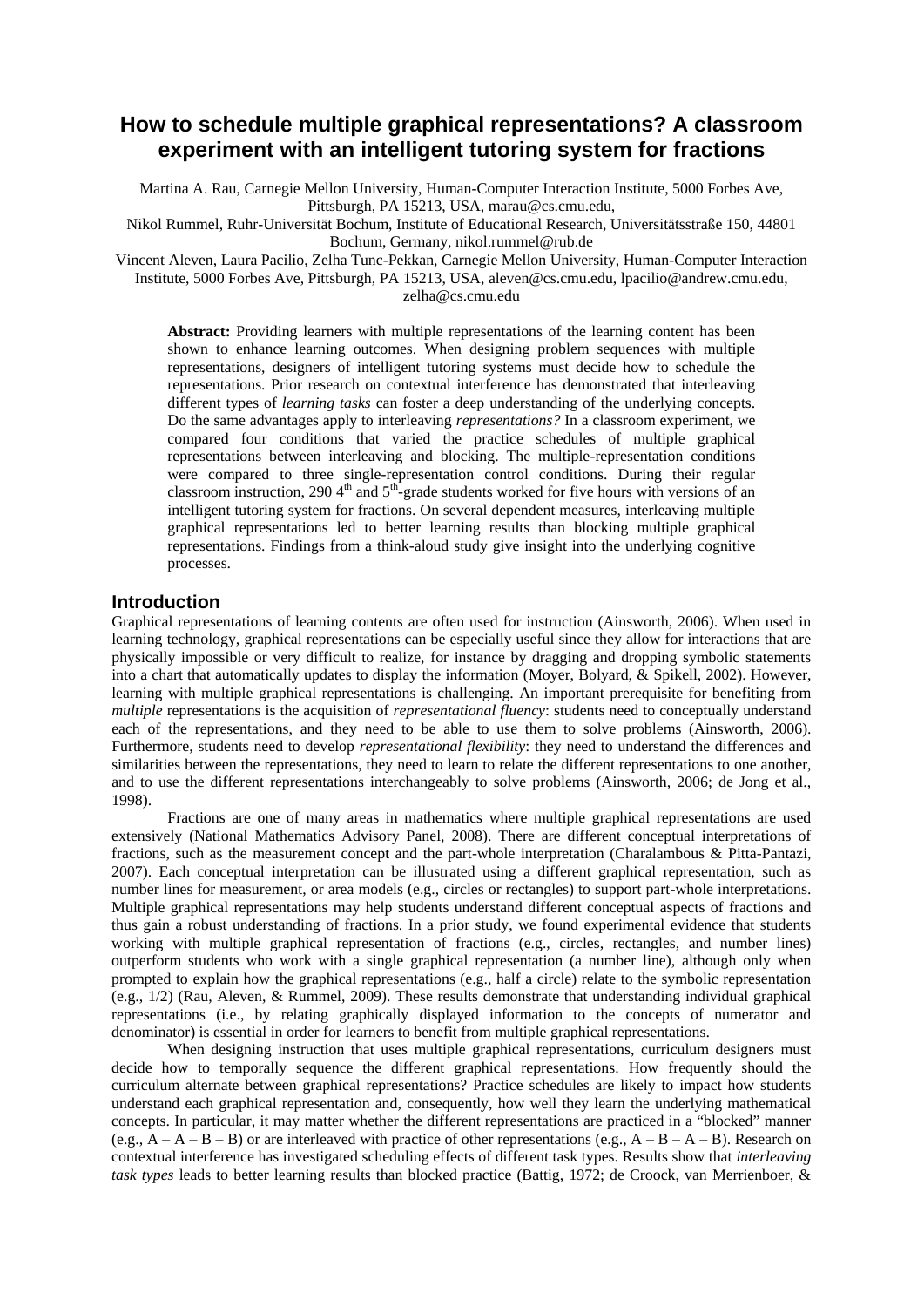# **How to schedule multiple graphical representations? A classroom experiment with an intelligent tutoring system for fractions**

Martina A. Rau, Carnegie Mellon University, Human-Computer Interaction Institute, 5000 Forbes Ave, Pittsburgh, PA 15213, USA, marau@cs.cmu.edu,

Nikol Rummel, Ruhr-Universität Bochum, Institute of Educational Research, Universitätsstraße 150, 44801 Bochum, Germany, nikol.rummel@rub.de

Vincent Aleven, Laura Pacilio, Zelha Tunc-Pekkan, Carnegie Mellon University, Human-Computer Interaction Institute, 5000 Forbes Ave, Pittsburgh, PA 15213, USA, aleven@cs.cmu.edu, lpacilio@andrew.cmu.edu, zelha@cs.cmu.edu

**Abstract:** Providing learners with multiple representations of the learning content has been shown to enhance learning outcomes. When designing problem sequences with multiple representations, designers of intelligent tutoring systems must decide how to schedule the representations. Prior research on contextual interference has demonstrated that interleaving different types of *learning tasks* can foster a deep understanding of the underlying concepts. Do the same advantages apply to interleaving *representations?* In a classroom experiment, we compared four conditions that varied the practice schedules of multiple graphical representations between interleaving and blocking. The multiple-representation conditions were compared to three single-representation control conditions. During their regular classroom instruction, 290  $4<sup>th</sup>$  and  $5<sup>th</sup>$ -grade students worked for five hours with versions of an intelligent tutoring system for fractions. On several dependent measures, interleaving multiple graphical representations led to better learning results than blocking multiple graphical representations. Findings from a think-aloud study give insight into the underlying cognitive processes.

# **Introduction**

Graphical representations of learning contents are often used for instruction (Ainsworth, 2006). When used in learning technology, graphical representations can be especially useful since they allow for interactions that are physically impossible or very difficult to realize, for instance by dragging and dropping symbolic statements into a chart that automatically updates to display the information (Moyer, Bolyard, & Spikell, 2002). However, learning with multiple graphical representations is challenging. An important prerequisite for benefiting from *multiple* representations is the acquisition of *representational fluency*: students need to conceptually understand each of the representations, and they need to be able to use them to solve problems (Ainsworth, 2006). Furthermore, students need to develop *representational flexibility*: they need to understand the differences and similarities between the representations, they need to learn to relate the different representations to one another, and to use the different representations interchangeably to solve problems (Ainsworth, 2006; de Jong et al., 1998).

Fractions are one of many areas in mathematics where multiple graphical representations are used extensively (National Mathematics Advisory Panel, 2008). There are different conceptual interpretations of fractions, such as the measurement concept and the part-whole interpretation (Charalambous & Pitta-Pantazi, 2007). Each conceptual interpretation can be illustrated using a different graphical representation, such as number lines for measurement, or area models (e.g., circles or rectangles) to support part-whole interpretations. Multiple graphical representations may help students understand different conceptual aspects of fractions and thus gain a robust understanding of fractions. In a prior study, we found experimental evidence that students working with multiple graphical representation of fractions (e.g., circles, rectangles, and number lines) outperform students who work with a single graphical representation (a number line), although only when prompted to explain how the graphical representations (e.g., half a circle) relate to the symbolic representation (e.g., 1/2) (Rau, Aleven, & Rummel, 2009). These results demonstrate that understanding individual graphical representations (i.e., by relating graphically displayed information to the concepts of numerator and denominator) is essential in order for learners to benefit from multiple graphical representations.

When designing instruction that uses multiple graphical representations, curriculum designers must decide how to temporally sequence the different graphical representations. How frequently should the curriculum alternate between graphical representations? Practice schedules are likely to impact how students understand each graphical representation and, consequently, how well they learn the underlying mathematical concepts. In particular, it may matter whether the different representations are practiced in a "blocked" manner (e.g.,  $\overline{A} - \overline{A} - \overline{B} - \overline{B}$ ) or are interleaved with practice of other representations (e.g.,  $\overline{A} - \overline{B} - \overline{A} - \overline{B}$ ). Research on contextual interference has investigated scheduling effects of different task types. Results show that *interleaving task types* leads to better learning results than blocked practice (Battig, 1972; de Croock, van Merrienboer, &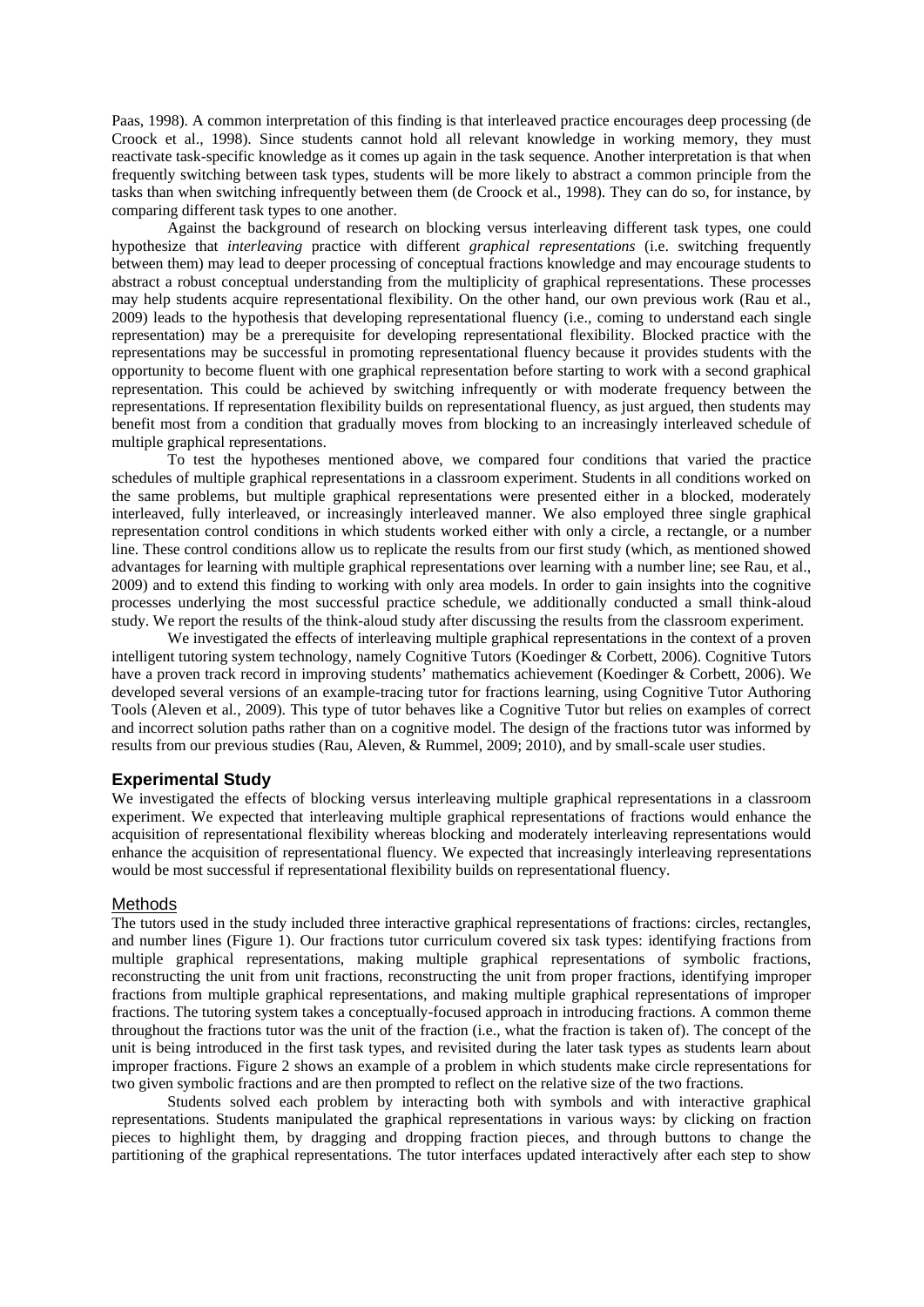Paas, 1998). A common interpretation of this finding is that interleaved practice encourages deep processing (de Croock et al., 1998). Since students cannot hold all relevant knowledge in working memory, they must reactivate task-specific knowledge as it comes up again in the task sequence. Another interpretation is that when frequently switching between task types, students will be more likely to abstract a common principle from the tasks than when switching infrequently between them (de Croock et al., 1998). They can do so, for instance, by comparing different task types to one another.

Against the background of research on blocking versus interleaving different task types, one could hypothesize that *interleaving* practice with different *graphical representations* (i.e. switching frequently between them) may lead to deeper processing of conceptual fractions knowledge and may encourage students to abstract a robust conceptual understanding from the multiplicity of graphical representations. These processes may help students acquire representational flexibility. On the other hand, our own previous work (Rau et al., 2009) leads to the hypothesis that developing representational fluency (i.e., coming to understand each single representation) may be a prerequisite for developing representational flexibility. Blocked practice with the representations may be successful in promoting representational fluency because it provides students with the opportunity to become fluent with one graphical representation before starting to work with a second graphical representation. This could be achieved by switching infrequently or with moderate frequency between the representations. If representation flexibility builds on representational fluency, as just argued, then students may benefit most from a condition that gradually moves from blocking to an increasingly interleaved schedule of multiple graphical representations.

To test the hypotheses mentioned above, we compared four conditions that varied the practice schedules of multiple graphical representations in a classroom experiment. Students in all conditions worked on the same problems, but multiple graphical representations were presented either in a blocked, moderately interleaved, fully interleaved, or increasingly interleaved manner. We also employed three single graphical representation control conditions in which students worked either with only a circle, a rectangle, or a number line. These control conditions allow us to replicate the results from our first study (which, as mentioned showed advantages for learning with multiple graphical representations over learning with a number line; see Rau, et al., 2009) and to extend this finding to working with only area models. In order to gain insights into the cognitive processes underlying the most successful practice schedule, we additionally conducted a small think-aloud study. We report the results of the think-aloud study after discussing the results from the classroom experiment.

We investigated the effects of interleaving multiple graphical representations in the context of a proven intelligent tutoring system technology, namely Cognitive Tutors (Koedinger & Corbett, 2006). Cognitive Tutors have a proven track record in improving students' mathematics achievement (Koedinger & Corbett, 2006). We developed several versions of an example-tracing tutor for fractions learning, using Cognitive Tutor Authoring Tools (Aleven et al., 2009). This type of tutor behaves like a Cognitive Tutor but relies on examples of correct and incorrect solution paths rather than on a cognitive model. The design of the fractions tutor was informed by results from our previous studies (Rau, Aleven, & Rummel, 2009; 2010), and by small-scale user studies.

## **Experimental Study**

We investigated the effects of blocking versus interleaving multiple graphical representations in a classroom experiment. We expected that interleaving multiple graphical representations of fractions would enhance the acquisition of representational flexibility whereas blocking and moderately interleaving representations would enhance the acquisition of representational fluency. We expected that increasingly interleaving representations would be most successful if representational flexibility builds on representational fluency.

#### Methods

The tutors used in the study included three interactive graphical representations of fractions: circles, rectangles, and number lines (Figure 1). Our fractions tutor curriculum covered six task types: identifying fractions from multiple graphical representations, making multiple graphical representations of symbolic fractions, reconstructing the unit from unit fractions, reconstructing the unit from proper fractions, identifying improper fractions from multiple graphical representations, and making multiple graphical representations of improper fractions. The tutoring system takes a conceptually-focused approach in introducing fractions. A common theme throughout the fractions tutor was the unit of the fraction (i.e., what the fraction is taken of). The concept of the unit is being introduced in the first task types, and revisited during the later task types as students learn about improper fractions. Figure 2 shows an example of a problem in which students make circle representations for two given symbolic fractions and are then prompted to reflect on the relative size of the two fractions.

Students solved each problem by interacting both with symbols and with interactive graphical representations. Students manipulated the graphical representations in various ways: by clicking on fraction pieces to highlight them, by dragging and dropping fraction pieces, and through buttons to change the partitioning of the graphical representations. The tutor interfaces updated interactively after each step to show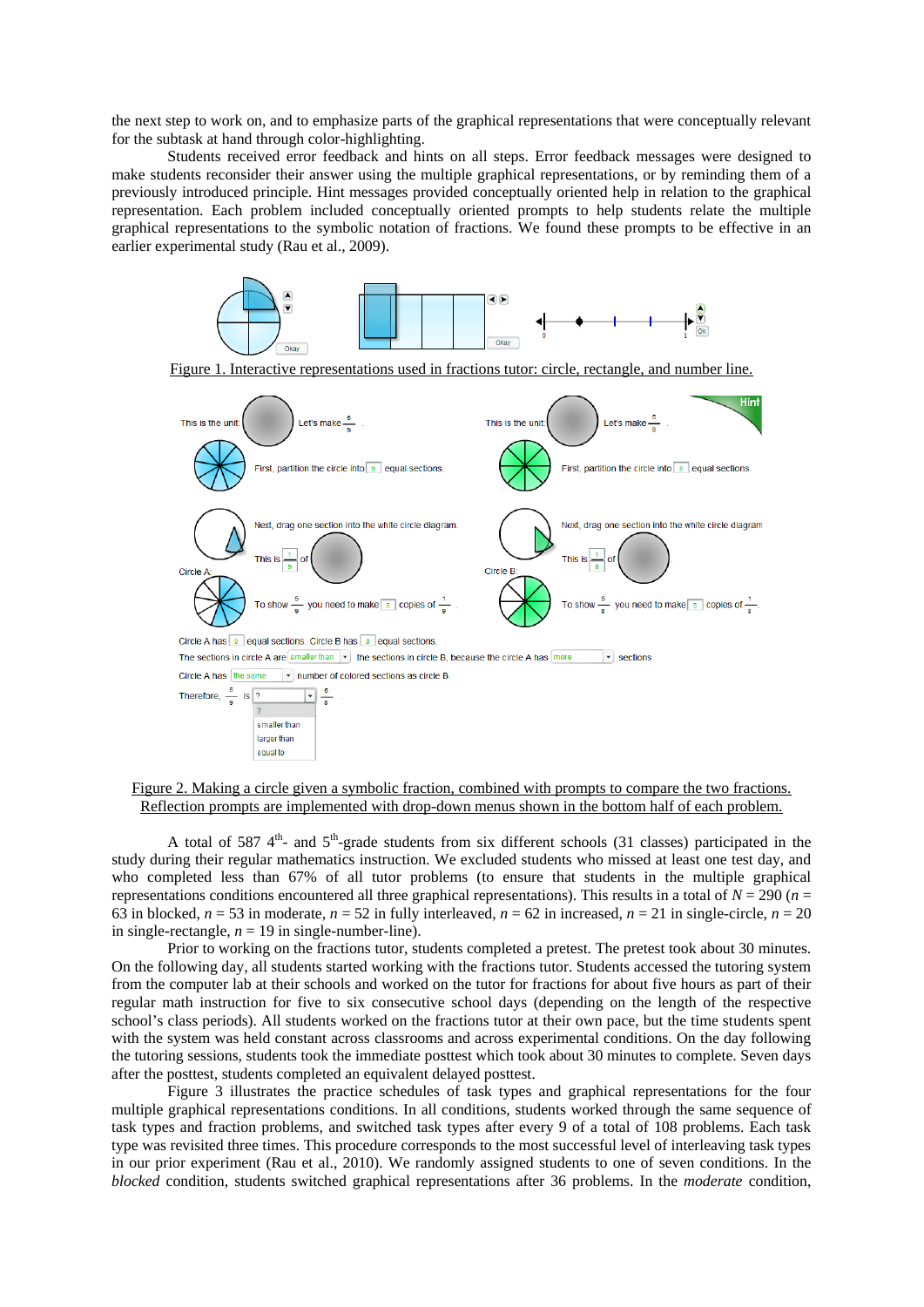the next step to work on, and to emphasize parts of the graphical representations that were conceptually relevant for the subtask at hand through color-highlighting.

Students received error feedback and hints on all steps. Error feedback messages were designed to make students reconsider their answer using the multiple graphical representations, or by reminding them of a previously introduced principle. Hint messages provided conceptually oriented help in relation to the graphical representation. Each problem included conceptually oriented prompts to help students relate the multiple graphical representations to the symbolic notation of fractions. We found these prompts to be effective in an earlier experimental study (Rau et al., 2009).



Figure 2. Making a circle given a symbolic fraction, combined with prompts to compare the two fractions. Reflection prompts are implemented with drop-down menus shown in the bottom half of each problem.

A total of 587  $4<sup>th</sup>$ - and  $5<sup>th</sup>$ -grade students from six different schools (31 classes) participated in the study during their regular mathematics instruction. We excluded students who missed at least one test day, and who completed less than 67% of all tutor problems (to ensure that students in the multiple graphical representations conditions encountered all three graphical representations). This results in a total of  $N = 290$  ( $n =$ 63 in blocked,  $n = 53$  in moderate,  $n = 52$  in fully interleaved,  $n = 62$  in increased,  $n = 21$  in single-circle,  $n = 20$ in single-rectangle,  $n = 19$  in single-number-line).

Prior to working on the fractions tutor, students completed a pretest. The pretest took about 30 minutes. On the following day, all students started working with the fractions tutor. Students accessed the tutoring system from the computer lab at their schools and worked on the tutor for fractions for about five hours as part of their regular math instruction for five to six consecutive school days (depending on the length of the respective school's class periods). All students worked on the fractions tutor at their own pace, but the time students spent with the system was held constant across classrooms and across experimental conditions. On the day following the tutoring sessions, students took the immediate posttest which took about 30 minutes to complete. Seven days after the posttest, students completed an equivalent delayed posttest.

Figure 3 illustrates the practice schedules of task types and graphical representations for the four multiple graphical representations conditions. In all conditions, students worked through the same sequence of task types and fraction problems, and switched task types after every 9 of a total of 108 problems. Each task type was revisited three times. This procedure corresponds to the most successful level of interleaving task types in our prior experiment (Rau et al., 2010). We randomly assigned students to one of seven conditions. In the *blocked* condition, students switched graphical representations after 36 problems. In the *moderate* condition,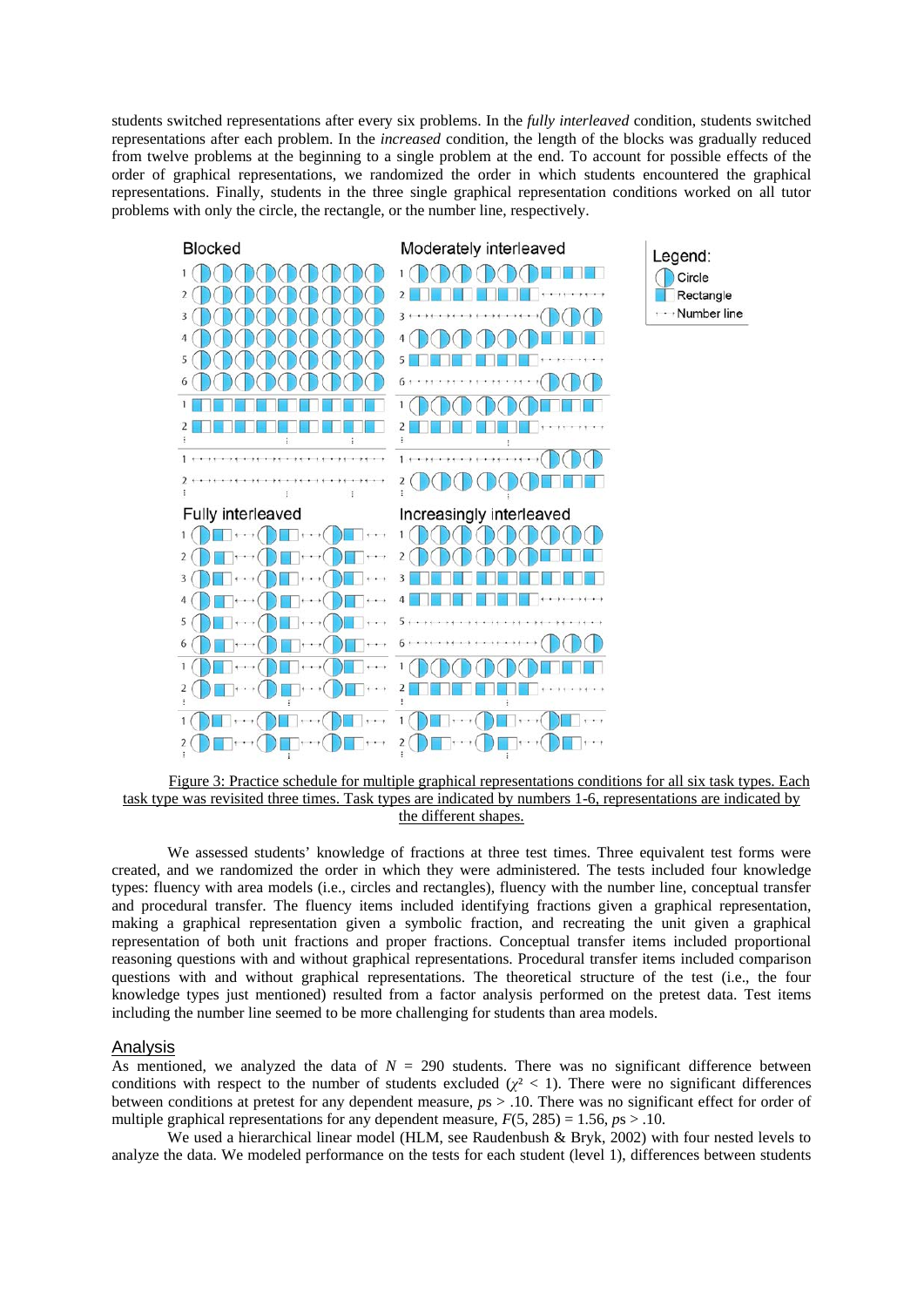students switched representations after every six problems. In the *fully interleaved* condition, students switched representations after each problem. In the *increased* condition, the length of the blocks was gradually reduced from twelve problems at the beginning to a single problem at the end. To account for possible effects of the order of graphical representations, we randomized the order in which students encountered the graphical representations. Finally, students in the three single graphical representation conditions worked on all tutor problems with only the circle, the rectangle, or the number line, respectively.



Figure 3: Practice schedule for multiple graphical representations conditions for all six task types. Each task type was revisited three times. Task types are indicated by numbers 1-6, representations are indicated by the different shapes.

We assessed students' knowledge of fractions at three test times. Three equivalent test forms were created, and we randomized the order in which they were administered. The tests included four knowledge types: fluency with area models (i.e., circles and rectangles), fluency with the number line, conceptual transfer and procedural transfer. The fluency items included identifying fractions given a graphical representation, making a graphical representation given a symbolic fraction, and recreating the unit given a graphical representation of both unit fractions and proper fractions. Conceptual transfer items included proportional reasoning questions with and without graphical representations. Procedural transfer items included comparison questions with and without graphical representations. The theoretical structure of the test (i.e., the four knowledge types just mentioned) resulted from a factor analysis performed on the pretest data. Test items including the number line seemed to be more challenging for students than area models.

## Analysis

As mentioned, we analyzed the data of  $N = 290$  students. There was no significant difference between conditions with respect to the number of students excluded  $(\chi^2 < 1)$ . There were no significant differences between conditions at pretest for any dependent measure, *p*s > .10. There was no significant effect for order of multiple graphical representations for any dependent measure,  $F(5, 285) = 1.56$ ,  $p_s > 0.10$ .

We used a hierarchical linear model (HLM, see Raudenbush & Bryk, 2002) with four nested levels to analyze the data. We modeled performance on the tests for each student (level 1), differences between students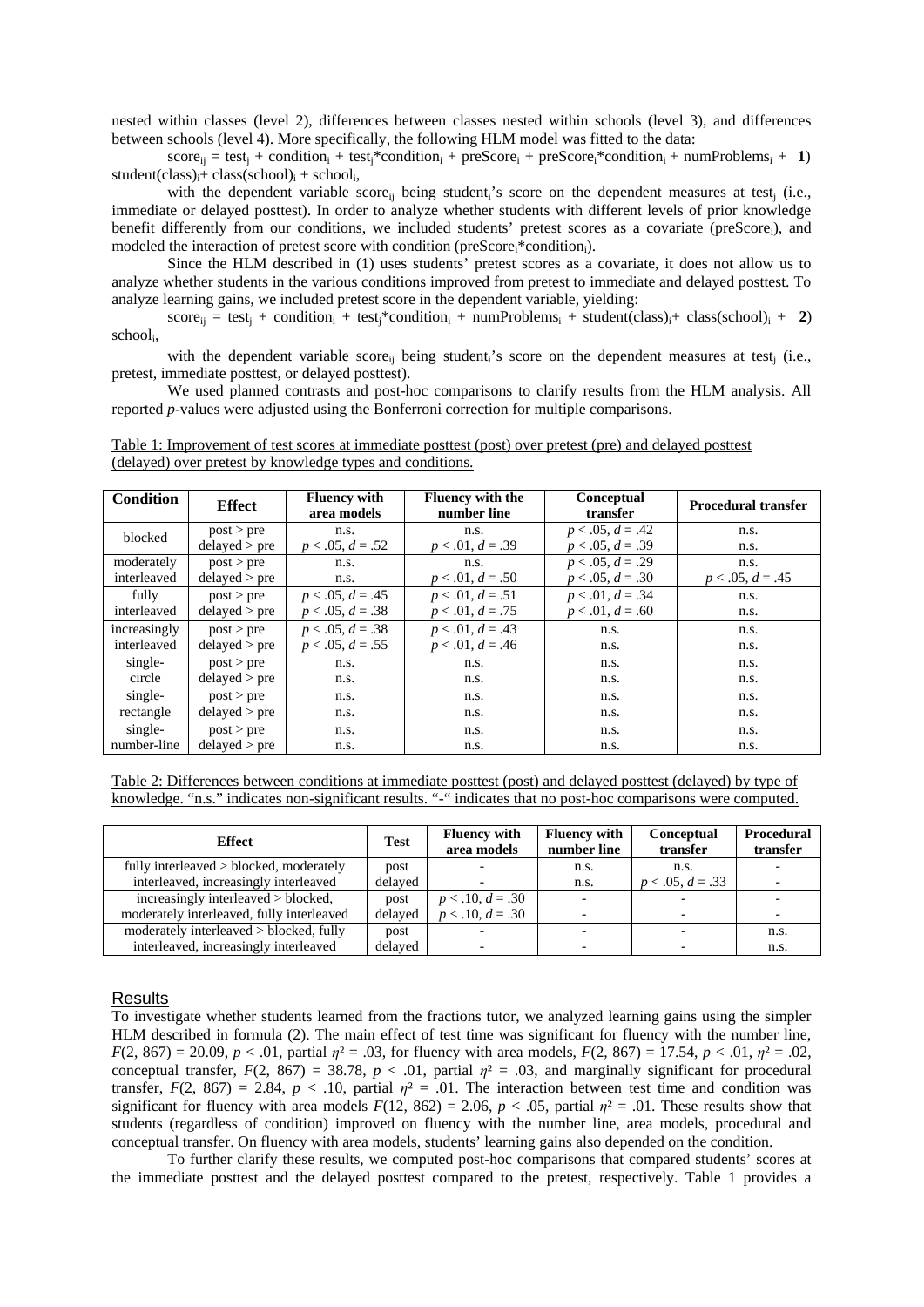nested within classes (level 2), differences between classes nested within schools (level 3), and differences between schools (level 4). More specifically, the following HLM model was fitted to the data:

 $score_{ij} = test_j + condition_i + test_j * condition_i + preScore_i + preScore_i * condition_i + numProblems_i + 1)$  $student(class)_{i} + class(school)_{i} + school_{i}$ ,

with the dependent variable score<sub>ij</sub> being student<sub>i</sub>'s score on the dependent measures at test<sub>j</sub> (i.e., immediate or delayed posttest). In order to analyze whether students with different levels of prior knowledge benefit differently from our conditions, we included students' pretest scores as a covariate (preScore<sub>i</sub>), and modeled the interaction of pretest score with condition (preScore<sub>i</sub>\*condition<sub>i</sub>).

Since the HLM described in (1) uses students' pretest scores as a covariate, it does not allow us to analyze whether students in the various conditions improved from pretest to immediate and delayed posttest. To analyze learning gains, we included pretest score in the dependent variable, yielding:

 $score_{ij} = test_j + condition_i + test_j * condition_i + numProblems_i + student(class)_i + class(school)_i + 2)$ schooli,

with the dependent variable score<sub>ii</sub> being student<sub>i</sub>'s score on the dependent measures at test<sub>i</sub> (i.e., pretest, immediate posttest, or delayed posttest).

We used planned contrasts and post-hoc comparisons to clarify results from the HLM analysis. All reported *p*-values were adjusted using the Bonferroni correction for multiple comparisons.

Table 1: Improvement of test scores at immediate posttest (post) over pretest (pre) and delayed posttest (delayed) over pretest by knowledge types and conditions.

| <b>Condition</b> | <b>Effect</b> | <b>Fluency with</b><br>area models | <b>Fluency with the</b><br>number line | <b>Conceptual</b><br>transfer | <b>Procedural transfer</b> |
|------------------|---------------|------------------------------------|----------------------------------------|-------------------------------|----------------------------|
| blocked          | post > pre    | n.s.                               | n.s.                                   | $p < .05, d = .42$            | n.s.                       |
|                  | delayed > pre | $p < .05, d = .52$                 | $p < .01, d = .39$                     | $p < .05, d = .39$            | n.s.                       |
| moderately       | post > pre    | n.s.                               | n.s.                                   | $p < .05, d = .29$            | n.s.                       |
| interleaved      | delayed > pre | n.s.                               | $p < .01, d = .50$                     | $p < .05, d = .30$            | $p < .05, d = .45$         |
| fully            | post > pre    | $p < .05, d = .45$                 | $p < .01, d = .51$                     | $p < .01, d = .34$            | n.s.                       |
| interleaved      | delayed > pre | $p < .05, d = .38$                 | $p < .01, d = .75$                     | $p < .01, d = .60$            | n.s.                       |
| increasingly     | post > pre    | $p < .05, d = .38$                 | $p < .01, d = .43$                     | n.s.                          | n.s.                       |
| interleaved      | delayed > pre | $p < .05, d = .55$                 | $p < .01, d = .46$                     | n.s.                          | n.s.                       |
| single-          | post > pre    | n.s.                               | n.s.                                   | n.s.                          | n.s.                       |
| circle           | delayed > pre | n.s.                               | n.s.                                   | n.s.                          | n.s.                       |
| single-          | post > pre    | n.s.                               | n.s.                                   | n.s.                          | n.s.                       |
| rectangle        | delayed > pre | n.s.                               | n.s.                                   | n.s.                          | n.s.                       |
| single-          | post > pre    | n.s.                               | n.s.                                   | n.s.                          | n.s.                       |
| number-line      | delayed > pre | n.s.                               | n.s.                                   | n.s.                          | n.s.                       |

Table 2: Differences between conditions at immediate posttest (post) and delayed posttest (delayed) by type of knowledge. "n.s." indicates non-significant results. "-" indicates that no post-hoc comparisons were computed.

| <b>Effect</b>                             | <b>Test</b> | <b>Fluency with</b><br>area models | <b>Fluency with</b><br>number line | <b>Conceptual</b><br>transfer | <b>Procedural</b><br>transfer |
|-------------------------------------------|-------------|------------------------------------|------------------------------------|-------------------------------|-------------------------------|
| fully interleaved > blocked, moderately   | post        |                                    | n.s.                               | n.s.                          |                               |
| interleaved, increasingly interleaved     | delayed     |                                    | n.s.                               | $p < .05, d = .33$            |                               |
| increasingly interleaved > blocked,       | post        | $p < .10, d = .30$                 |                                    |                               |                               |
| moderately interleaved, fully interleaved | delaved     | $p < .10, d = .30$                 |                                    | $\overline{\phantom{0}}$      |                               |
| moderately interleaved > blocked, fully   | post        |                                    |                                    |                               | n.s.                          |
| interleaved, increasingly interleaved     | delaved     |                                    |                                    |                               | n.s.                          |

#### Results

To investigate whether students learned from the fractions tutor, we analyzed learning gains using the simpler HLM described in formula (2). The main effect of test time was significant for fluency with the number line, *F*(2, 867) = 20.09, *p* < .01, partial  $\eta$ <sup>2</sup> = .03, for fluency with area models, *F*(2, 867) = 17.54, *p* < .01,  $\eta$ <sup>2</sup> = .02, conceptual transfer,  $F(2, 867) = 38.78$ ,  $p < .01$ , partial  $\eta^2 = .03$ , and marginally significant for procedural transfer,  $F(2, 867) = 2.84$ ,  $p < .10$ , partial  $\eta^2 = .01$ . The interaction between test time and condition was significant for fluency with area models  $F(12, 862) = 2.06$ ,  $p < .05$ , partial  $n^2 = .01$ . These results show that students (regardless of condition) improved on fluency with the number line, area models, procedural and conceptual transfer. On fluency with area models, students' learning gains also depended on the condition.

To further clarify these results, we computed post-hoc comparisons that compared students' scores at the immediate posttest and the delayed posttest compared to the pretest, respectively. Table 1 provides a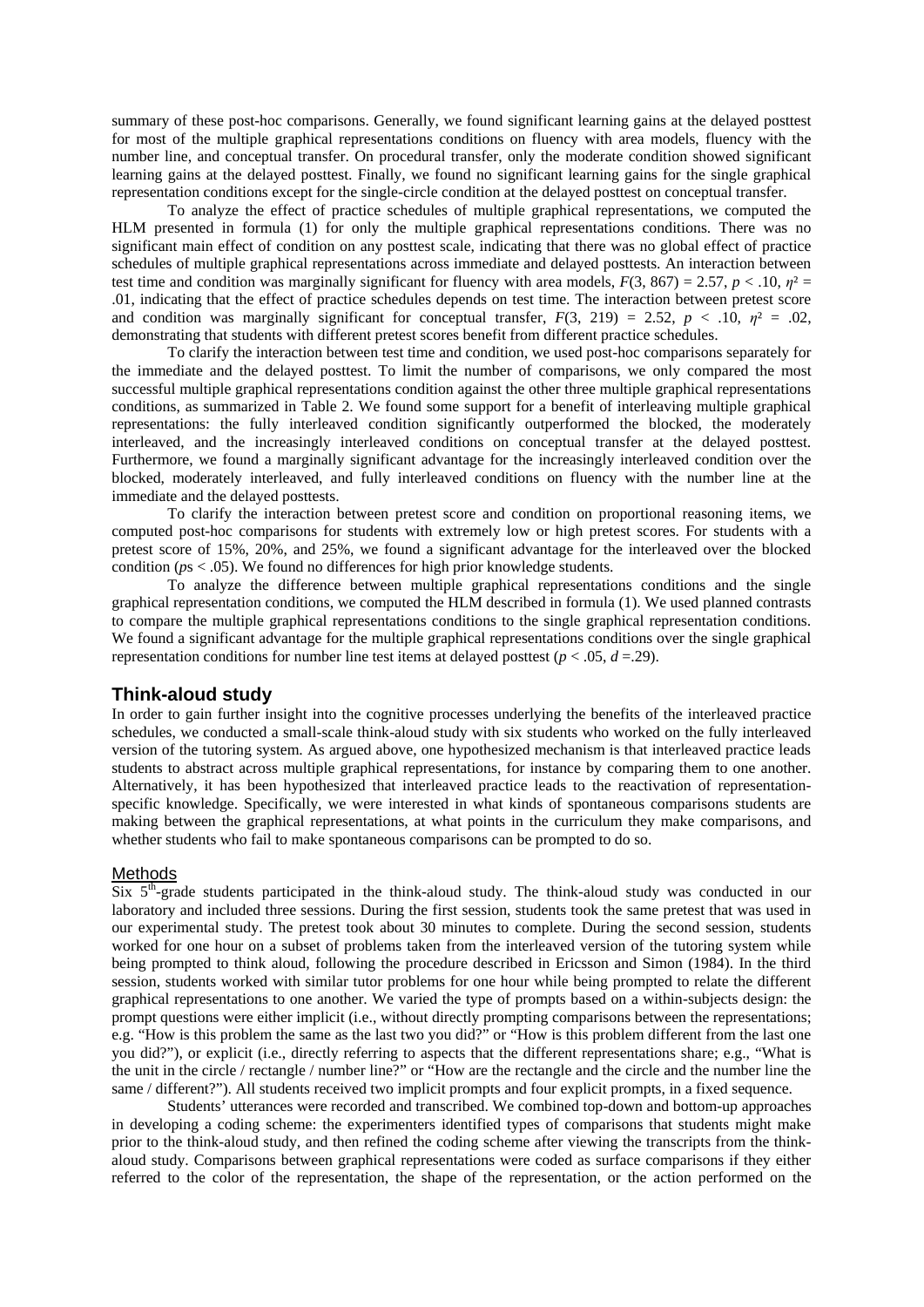summary of these post-hoc comparisons. Generally, we found significant learning gains at the delayed posttest for most of the multiple graphical representations conditions on fluency with area models, fluency with the number line, and conceptual transfer. On procedural transfer, only the moderate condition showed significant learning gains at the delayed posttest. Finally, we found no significant learning gains for the single graphical representation conditions except for the single-circle condition at the delayed posttest on conceptual transfer.

To analyze the effect of practice schedules of multiple graphical representations, we computed the HLM presented in formula (1) for only the multiple graphical representations conditions. There was no significant main effect of condition on any posttest scale, indicating that there was no global effect of practice schedules of multiple graphical representations across immediate and delayed posttests. An interaction between test time and condition was marginally significant for fluency with area models,  $F(3, 867) = 2.57$ ,  $p < 0.10$ ,  $n^2 = 0.57$ .01, indicating that the effect of practice schedules depends on test time. The interaction between pretest score and condition was marginally significant for conceptual transfer,  $F(3, 219) = 2.52$ ,  $p < .10$ ,  $\eta^2 = .02$ , demonstrating that students with different pretest scores benefit from different practice schedules.

To clarify the interaction between test time and condition, we used post-hoc comparisons separately for the immediate and the delayed posttest. To limit the number of comparisons, we only compared the most successful multiple graphical representations condition against the other three multiple graphical representations conditions, as summarized in Table 2. We found some support for a benefit of interleaving multiple graphical representations: the fully interleaved condition significantly outperformed the blocked, the moderately interleaved, and the increasingly interleaved conditions on conceptual transfer at the delayed posttest. Furthermore, we found a marginally significant advantage for the increasingly interleaved condition over the blocked, moderately interleaved, and fully interleaved conditions on fluency with the number line at the immediate and the delayed posttests.

To clarify the interaction between pretest score and condition on proportional reasoning items, we computed post-hoc comparisons for students with extremely low or high pretest scores. For students with a pretest score of 15%, 20%, and 25%, we found a significant advantage for the interleaved over the blocked condition ( $ps < .05$ ). We found no differences for high prior knowledge students.

To analyze the difference between multiple graphical representations conditions and the single graphical representation conditions, we computed the HLM described in formula (1). We used planned contrasts to compare the multiple graphical representations conditions to the single graphical representation conditions. We found a significant advantage for the multiple graphical representations conditions over the single graphical representation conditions for number line test items at delayed posttest ( $p < .05$ ,  $d = .29$ ).

## **Think-aloud study**

In order to gain further insight into the cognitive processes underlying the benefits of the interleaved practice schedules, we conducted a small-scale think-aloud study with six students who worked on the fully interleaved version of the tutoring system. As argued above, one hypothesized mechanism is that interleaved practice leads students to abstract across multiple graphical representations, for instance by comparing them to one another. Alternatively, it has been hypothesized that interleaved practice leads to the reactivation of representationspecific knowledge. Specifically, we were interested in what kinds of spontaneous comparisons students are making between the graphical representations, at what points in the curriculum they make comparisons, and whether students who fail to make spontaneous comparisons can be prompted to do so.

#### Methods

Six  $5<sup>th</sup>$ -grade students participated in the think-aloud study. The think-aloud study was conducted in our laboratory and included three sessions. During the first session, students took the same pretest that was used in our experimental study. The pretest took about 30 minutes to complete. During the second session, students worked for one hour on a subset of problems taken from the interleaved version of the tutoring system while being prompted to think aloud, following the procedure described in Ericsson and Simon (1984). In the third session, students worked with similar tutor problems for one hour while being prompted to relate the different graphical representations to one another. We varied the type of prompts based on a within-subjects design: the prompt questions were either implicit (i.e., without directly prompting comparisons between the representations; e.g. "How is this problem the same as the last two you did?" or "How is this problem different from the last one you did?"), or explicit (i.e., directly referring to aspects that the different representations share; e.g., "What is the unit in the circle / rectangle / number line?" or "How are the rectangle and the circle and the number line the same / different?"). All students received two implicit prompts and four explicit prompts, in a fixed sequence.

Students' utterances were recorded and transcribed. We combined top-down and bottom-up approaches in developing a coding scheme: the experimenters identified types of comparisons that students might make prior to the think-aloud study, and then refined the coding scheme after viewing the transcripts from the thinkaloud study. Comparisons between graphical representations were coded as surface comparisons if they either referred to the color of the representation, the shape of the representation, or the action performed on the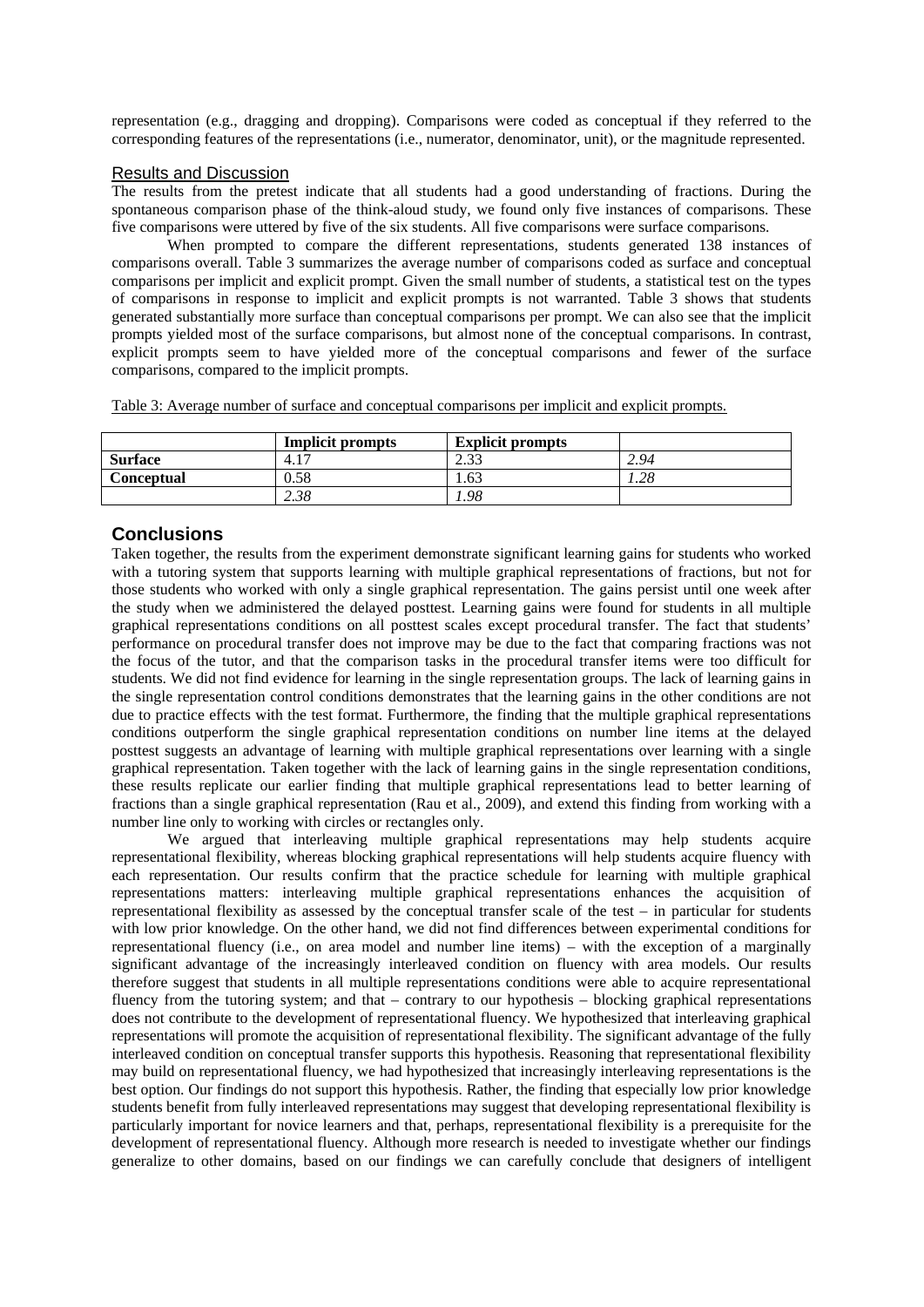representation (e.g., dragging and dropping). Comparisons were coded as conceptual if they referred to the corresponding features of the representations (i.e., numerator, denominator, unit), or the magnitude represented.

#### Results and Discussion

The results from the pretest indicate that all students had a good understanding of fractions. During the spontaneous comparison phase of the think-aloud study, we found only five instances of comparisons. These five comparisons were uttered by five of the six students. All five comparisons were surface comparisons.

When prompted to compare the different representations, students generated 138 instances of comparisons overall. Table 3 summarizes the average number of comparisons coded as surface and conceptual comparisons per implicit and explicit prompt. Given the small number of students, a statistical test on the types of comparisons in response to implicit and explicit prompts is not warranted. Table 3 shows that students generated substantially more surface than conceptual comparisons per prompt. We can also see that the implicit prompts yielded most of the surface comparisons, but almost none of the conceptual comparisons. In contrast, explicit prompts seem to have yielded more of the conceptual comparisons and fewer of the surface comparisons, compared to the implicit prompts.

Table 3: Average number of surface and conceptual comparisons per implicit and explicit prompts.

|                | <b>Implicit prompts</b> | <b>Explicit prompts</b> |      |
|----------------|-------------------------|-------------------------|------|
| <b>Surface</b> | 4.17                    | 222<br>ن ل              | 2.94 |
| Conceptual     | 0.58                    | .63                     | 1.28 |
|                | 2.38                    | .98                     |      |

# **Conclusions**

Taken together, the results from the experiment demonstrate significant learning gains for students who worked with a tutoring system that supports learning with multiple graphical representations of fractions, but not for those students who worked with only a single graphical representation. The gains persist until one week after the study when we administered the delayed posttest. Learning gains were found for students in all multiple graphical representations conditions on all posttest scales except procedural transfer. The fact that students' performance on procedural transfer does not improve may be due to the fact that comparing fractions was not the focus of the tutor, and that the comparison tasks in the procedural transfer items were too difficult for students. We did not find evidence for learning in the single representation groups. The lack of learning gains in the single representation control conditions demonstrates that the learning gains in the other conditions are not due to practice effects with the test format. Furthermore, the finding that the multiple graphical representations conditions outperform the single graphical representation conditions on number line items at the delayed posttest suggests an advantage of learning with multiple graphical representations over learning with a single graphical representation. Taken together with the lack of learning gains in the single representation conditions, these results replicate our earlier finding that multiple graphical representations lead to better learning of fractions than a single graphical representation (Rau et al., 2009), and extend this finding from working with a number line only to working with circles or rectangles only.

We argued that interleaving multiple graphical representations may help students acquire representational flexibility, whereas blocking graphical representations will help students acquire fluency with each representation. Our results confirm that the practice schedule for learning with multiple graphical representations matters: interleaving multiple graphical representations enhances the acquisition of representational flexibility as assessed by the conceptual transfer scale of the test – in particular for students with low prior knowledge. On the other hand, we did not find differences between experimental conditions for representational fluency (i.e., on area model and number line items) – with the exception of a marginally significant advantage of the increasingly interleaved condition on fluency with area models. Our results therefore suggest that students in all multiple representations conditions were able to acquire representational fluency from the tutoring system; and that – contrary to our hypothesis – blocking graphical representations does not contribute to the development of representational fluency. We hypothesized that interleaving graphical representations will promote the acquisition of representational flexibility. The significant advantage of the fully interleaved condition on conceptual transfer supports this hypothesis. Reasoning that representational flexibility may build on representational fluency, we had hypothesized that increasingly interleaving representations is the best option. Our findings do not support this hypothesis. Rather, the finding that especially low prior knowledge students benefit from fully interleaved representations may suggest that developing representational flexibility is particularly important for novice learners and that, perhaps, representational flexibility is a prerequisite for the development of representational fluency. Although more research is needed to investigate whether our findings generalize to other domains, based on our findings we can carefully conclude that designers of intelligent